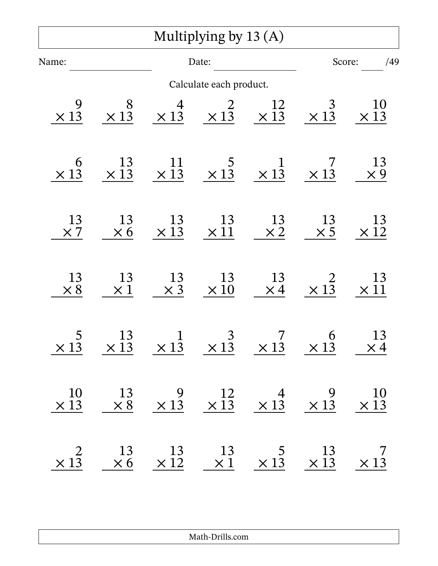|                        |                                                                                                                                                            |                        | Multiplying by 13 (A)       |                                                                                                                                                              |                             |                          |
|------------------------|------------------------------------------------------------------------------------------------------------------------------------------------------------|------------------------|-----------------------------|--------------------------------------------------------------------------------------------------------------------------------------------------------------|-----------------------------|--------------------------|
| Name:                  |                                                                                                                                                            | Date:                  |                             |                                                                                                                                                              | /49<br>Score:               |                          |
|                        |                                                                                                                                                            |                        | Calculate each product.     |                                                                                                                                                              |                             |                          |
| 9<br>$\times$ 13       | 8<br>$\times$ 13                                                                                                                                           | $\frac{4}{\times 13}$  | 2<br>$\times 1\overline{3}$ | $\frac{12}{\times 13}$                                                                                                                                       | 3<br>$\times 1\overline{3}$ | <b>10</b><br>$\times$ 13 |
| 6<br>$\times$ 13       | 13<br>$\times$ 13                                                                                                                                          | 11<br>$\times$ 13      | $\times 13$                 | $\mathbf 1$<br>$\times 1\overline{3}$                                                                                                                        | $\times$ 13                 | 13<br>$\times 9$         |
| 13<br>$\times 7$       | 13<br>$\times 6$                                                                                                                                           | $\frac{13}{\times 13}$ | 13<br>$\times\,11$          | 13<br>$\times 2$                                                                                                                                             | 13<br>$\times$ 5            | 13<br>$\times\,12$       |
| 13<br>$\times 8$       | 13<br>$\times 1$                                                                                                                                           | 13<br>$\times$ 3       | 13<br>$\times\,10$          | 13<br>$\times 4$                                                                                                                                             | $\times 1^{\frac{2}{3}}$    | 13<br>$\times 11$        |
| $\times 1\overline{3}$ |                                                                                                                                                            |                        |                             | $\begin{array}{ccccccccc}\n & 13 & & 1 & & 3 & & 7 & & 6 \\ \times 13 & & \times 13 & & \times 13 & & \times 13 & & \times 13\n\end{array}$                  |                             | 13<br>$\times 4$         |
|                        | $\begin{array}{ccccccccc}\n10 & 13 & 9 & 12 & 4 & 9 & 10 \\ \times 13 & \times 8 & \times 13 & \times 13 & \times 13 & \times 13 & \times 13\n\end{array}$ |                        |                             |                                                                                                                                                              |                             |                          |
| $\times 1^2$           |                                                                                                                                                            |                        |                             | $\begin{array}{ccccccccc}\n & 13 & & 13 & & 13 & & 5 & & 13 & & 7 \\ \times & 6 & & \times & 12 & & \times & 1 & & \times & 13 & & \times & 13\n\end{array}$ |                             |                          |